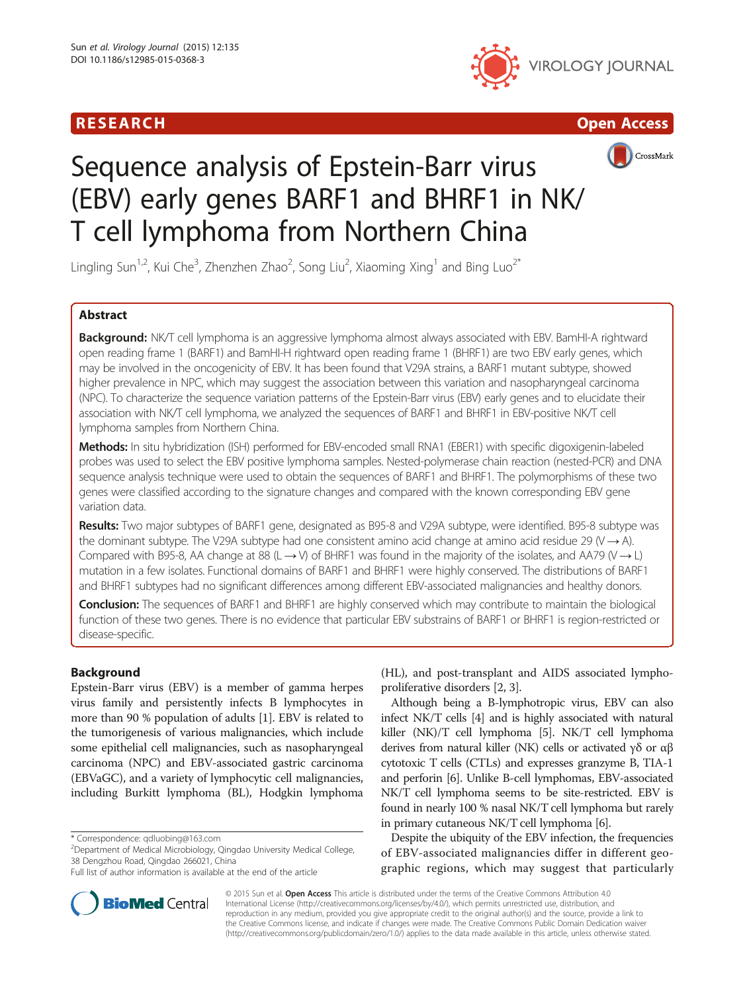





# Sequence analysis of Epstein-Barr virus (EBV) early genes BARF1 and BHRF1 in NK/ T cell lymphoma from Northern China

Lingling Sun<sup>1,2</sup>, Kui Che<sup>3</sup>, Zhenzhen Zhao<sup>2</sup>, Song Liu<sup>2</sup>, Xiaoming Xing<sup>1</sup> and Bing Luo<sup>2\*</sup>

# Abstract

Background: NK/T cell lymphoma is an aggressive lymphoma almost always associated with EBV. BamHI-A rightward open reading frame 1 (BARF1) and BamHI-H rightward open reading frame 1 (BHRF1) are two EBV early genes, which may be involved in the oncogenicity of EBV. It has been found that V29A strains, a BARF1 mutant subtype, showed higher prevalence in NPC, which may suggest the association between this variation and nasopharyngeal carcinoma (NPC). To characterize the sequence variation patterns of the Epstein-Barr virus (EBV) early genes and to elucidate their association with NK/T cell lymphoma, we analyzed the sequences of BARF1 and BHRF1 in EBV-positive NK/T cell lymphoma samples from Northern China.

Methods: In situ hybridization (ISH) performed for EBV-encoded small RNA1 (EBER1) with specific digoxigenin-labeled probes was used to select the EBV positive lymphoma samples. Nested-polymerase chain reaction (nested-PCR) and DNA sequence analysis technique were used to obtain the sequences of BARF1 and BHRF1. The polymorphisms of these two genes were classified according to the signature changes and compared with the known corresponding EBV gene variation data.

Results: Two major subtypes of BARF1 gene, designated as B95-8 and V29A subtype, were identified. B95-8 subtype was the dominant subtype. The V29A subtype had one consistent amino acid change at amino acid residue 29 (V  $\rightarrow$  A). Compared with B95-8, AA change at 88 (L  $\rightarrow$  V) of BHRF1 was found in the majority of the isolates, and AA79 (V  $\rightarrow$  L) mutation in a few isolates. Functional domains of BARF1 and BHRF1 were highly conserved. The distributions of BARF1 and BHRF1 subtypes had no significant differences among different EBV-associated malignancies and healthy donors.

Conclusion: The sequences of BARF1 and BHRF1 are highly conserved which may contribute to maintain the biological function of these two genes. There is no evidence that particular EBV substrains of BARF1 or BHRF1 is region-restricted or disease-specific.

# Background

Epstein-Barr virus (EBV) is a member of gamma herpes virus family and persistently infects B lymphocytes in more than 90 % population of adults [[1\]](#page-7-0). EBV is related to the tumorigenesis of various malignancies, which include some epithelial cell malignancies, such as nasopharyngeal carcinoma (NPC) and EBV-associated gastric carcinoma (EBVaGC), and a variety of lymphocytic cell malignancies, including Burkitt lymphoma (BL), Hodgkin lymphoma

\* Correspondence: [qdluobing@163.com](mailto:qdluobing@163.com) <sup>2</sup>

<sup>2</sup>Department of Medical Microbiology, Qingdao University Medical College, 38 Dengzhou Road, Qingdao 266021, China

(HL), and post-transplant and AIDS associated lymphoproliferative disorders [[2](#page-7-0), [3](#page-7-0)].

Although being a B-lymphotropic virus, EBV can also infect NK/T cells [\[4\]](#page-7-0) and is highly associated with natural killer (NK)/T cell lymphoma [\[5\]](#page-7-0). NK/T cell lymphoma derives from natural killer (NK) cells or activated γδ or αβ cytotoxic T cells (CTLs) and expresses granzyme B, TIA-1 and perforin [\[6\]](#page-7-0). Unlike B-cell lymphomas, EBV-associated NK/T cell lymphoma seems to be site-restricted. EBV is found in nearly 100 % nasal NK/T cell lymphoma but rarely in primary cutaneous NK/T cell lymphoma [\[6\]](#page-7-0).

Despite the ubiquity of the EBV infection, the frequencies of EBV-associated malignancies differ in different geographic regions, which may suggest that particularly

© 2015 Sun et al. Open Access This article is distributed under the terms of the Creative Commons Attribution 4.0 International License [\(http://creativecommons.org/licenses/by/4.0/](http://creativecommons.org/licenses/by/4.0/)), which permits unrestricted use, distribution, and reproduction in any medium, provided you give appropriate credit to the original author(s) and the source, provide a link to the Creative Commons license, and indicate if changes were made. The Creative Commons Public Domain Dedication waiver [\(http://creativecommons.org/publicdomain/zero/1.0/](http://creativecommons.org/publicdomain/zero/1.0/)) applies to the data made available in this article, unless otherwise stated.



Full list of author information is available at the end of the article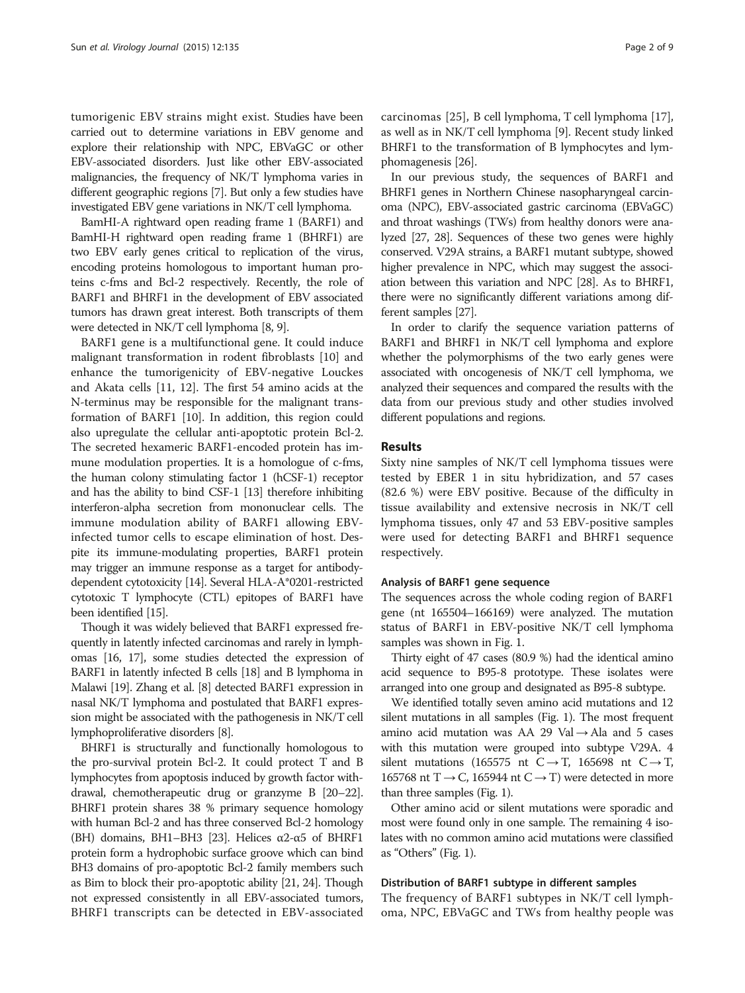tumorigenic EBV strains might exist. Studies have been carried out to determine variations in EBV genome and explore their relationship with NPC, EBVaGC or other EBV-associated disorders. Just like other EBV-associated malignancies, the frequency of NK/T lymphoma varies in different geographic regions [[7](#page-7-0)]. But only a few studies have investigated EBV gene variations in NK/T cell lymphoma.

BamHI-A rightward open reading frame 1 (BARF1) and BamHI-H rightward open reading frame 1 (BHRF1) are two EBV early genes critical to replication of the virus, encoding proteins homologous to important human proteins c-fms and Bcl-2 respectively. Recently, the role of BARF1 and BHRF1 in the development of EBV associated tumors has drawn great interest. Both transcripts of them were detected in NK/T cell lymphoma [\[8, 9](#page-7-0)].

BARF1 gene is a multifunctional gene. It could induce malignant transformation in rodent fibroblasts [[10](#page-7-0)] and enhance the tumorigenicity of EBV-negative Louckes and Akata cells [\[11, 12\]](#page-7-0). The first 54 amino acids at the N-terminus may be responsible for the malignant transformation of BARF1 [[10](#page-7-0)]. In addition, this region could also upregulate the cellular anti-apoptotic protein Bcl-2. The secreted hexameric BARF1-encoded protein has immune modulation properties. It is a homologue of c-fms, the human colony stimulating factor 1 (hCSF-1) receptor and has the ability to bind CSF-1 [[13](#page-7-0)] therefore inhibiting interferon-alpha secretion from mononuclear cells. The immune modulation ability of BARF1 allowing EBVinfected tumor cells to escape elimination of host. Despite its immune-modulating properties, BARF1 protein may trigger an immune response as a target for antibodydependent cytotoxicity [\[14](#page-7-0)]. Several HLA-A\*0201-restricted cytotoxic T lymphocyte (CTL) epitopes of BARF1 have been identified [\[15](#page-7-0)].

Though it was widely believed that BARF1 expressed frequently in latently infected carcinomas and rarely in lymphomas [[16](#page-7-0), [17\]](#page-7-0), some studies detected the expression of BARF1 in latently infected B cells [[18](#page-7-0)] and B lymphoma in Malawi [\[19\]](#page-7-0). Zhang et al. [\[8\]](#page-7-0) detected BARF1 expression in nasal NK/T lymphoma and postulated that BARF1 expression might be associated with the pathogenesis in NK/T cell lymphoproliferative disorders [\[8\]](#page-7-0).

BHRF1 is structurally and functionally homologous to the pro-survival protein Bcl-2. It could protect T and B lymphocytes from apoptosis induced by growth factor withdrawal, chemotherapeutic drug or granzyme B [[20](#page-7-0)–[22](#page-7-0)]. BHRF1 protein shares 38 % primary sequence homology with human Bcl-2 and has three conserved Bcl-2 homology (BH) domains, BH1-BH3 [\[23\]](#page-7-0). Helices  $\alpha$ 2- $\alpha$ 5 of BHRF1 protein form a hydrophobic surface groove which can bind BH3 domains of pro-apoptotic Bcl-2 family members such as Bim to block their pro-apoptotic ability [[21](#page-7-0), [24](#page-7-0)]. Though not expressed consistently in all EBV-associated tumors, BHRF1 transcripts can be detected in EBV-associated carcinomas [\[25\]](#page-7-0), B cell lymphoma, T cell lymphoma [[17](#page-7-0)], as well as in NK/T cell lymphoma [[9](#page-7-0)]. Recent study linked BHRF1 to the transformation of B lymphocytes and lymphomagenesis [[26](#page-7-0)].

In our previous study, the sequences of BARF1 and BHRF1 genes in Northern Chinese nasopharyngeal carcinoma (NPC), EBV-associated gastric carcinoma (EBVaGC) and throat washings (TWs) from healthy donors were analyzed [\[27](#page-7-0), [28\]](#page-7-0). Sequences of these two genes were highly conserved. V29A strains, a BARF1 mutant subtype, showed higher prevalence in NPC, which may suggest the association between this variation and NPC [\[28](#page-7-0)]. As to BHRF1, there were no significantly different variations among different samples [[27](#page-7-0)].

In order to clarify the sequence variation patterns of BARF1 and BHRF1 in NK/T cell lymphoma and explore whether the polymorphisms of the two early genes were associated with oncogenesis of NK/T cell lymphoma, we analyzed their sequences and compared the results with the data from our previous study and other studies involved different populations and regions.

# Results

Sixty nine samples of NK/T cell lymphoma tissues were tested by EBER 1 in situ hybridization, and 57 cases (82.6 %) were EBV positive. Because of the difficulty in tissue availability and extensive necrosis in NK/T cell lymphoma tissues, only 47 and 53 EBV-positive samples were used for detecting BARF1 and BHRF1 sequence respectively.

# Analysis of BARF1 gene sequence

The sequences across the whole coding region of BARF1 gene (nt 165504–166169) were analyzed. The mutation status of BARF1 in EBV-positive NK/T cell lymphoma samples was shown in Fig. [1](#page-2-0).

Thirty eight of 47 cases (80.9 %) had the identical amino acid sequence to B95-8 prototype. These isolates were arranged into one group and designated as B95-8 subtype.

We identified totally seven amino acid mutations and 12 silent mutations in all samples (Fig. [1\)](#page-2-0). The most frequent amino acid mutation was AA 29 Val  $\rightarrow$  Ala and 5 cases with this mutation were grouped into subtype V29A. 4 silent mutations (165575 nt C  $\rightarrow$  T, 165698 nt C  $\rightarrow$  T, 165768 nt T  $\rightarrow$  C, 165944 nt C  $\rightarrow$  T) were detected in more than three samples (Fig. [1](#page-2-0)).

Other amino acid or silent mutations were sporadic and most were found only in one sample. The remaining 4 isolates with no common amino acid mutations were classified as "Others" (Fig. [1\)](#page-2-0).

## Distribution of BARF1 subtype in different samples

The frequency of BARF1 subtypes in NK/T cell lymphoma, NPC, EBVaGC and TWs from healthy people was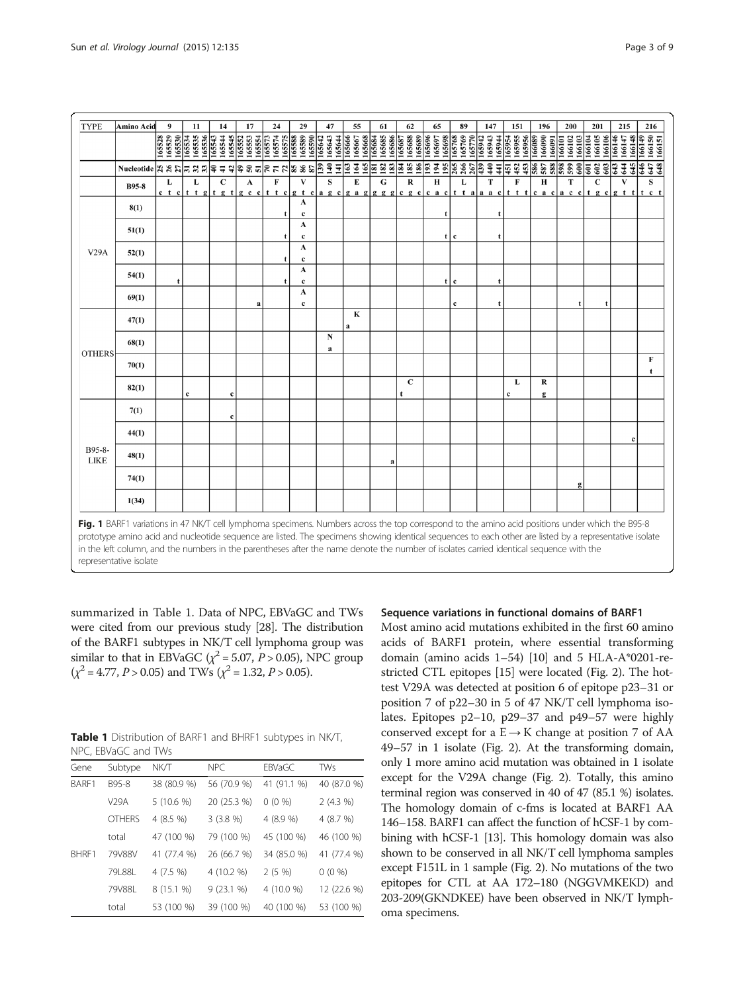<span id="page-2-0"></span>

| <b>TYPE</b>           | Amino Acid                                                                                                                                                                                                                                                                                                                                                                                                                                                                      | $\boldsymbol{9}$ | 11                                   | 14                         | 17                                                                                                                     | 24                                             | 29                         | 47                          | 55                         | 61                                | 62                      | 65                         | 89                                          | 147                                  | 151               | 196                        | 200                        | 201                                                     | 215                        | 216                        |
|-----------------------|---------------------------------------------------------------------------------------------------------------------------------------------------------------------------------------------------------------------------------------------------------------------------------------------------------------------------------------------------------------------------------------------------------------------------------------------------------------------------------|------------------|--------------------------------------|----------------------------|------------------------------------------------------------------------------------------------------------------------|------------------------------------------------|----------------------------|-----------------------------|----------------------------|-----------------------------------|-------------------------|----------------------------|---------------------------------------------|--------------------------------------|-------------------|----------------------------|----------------------------|---------------------------------------------------------|----------------------------|----------------------------|
|                       |                                                                                                                                                                                                                                                                                                                                                                                                                                                                                 | 165529<br>165528 | 165530<br>165534<br>165535<br>165536 | 165544<br>165545<br>165543 | 165552                                                                                                                 | 165553<br>165554<br>165573<br>165574<br>165575 | 165589<br>165590<br>165588 | 165643<br>165642<br>165644  | 165666<br>165667<br>165668 | 165684<br>165685<br><u>165686</u> | 165687<br>165688        | 165689<br>165696<br>165697 | $\frac{165698}{165768}$<br>165769<br>165770 | 165942<br>165943<br>165944<br>165954 | 165955<br>165956  | 166090<br>166089<br>166091 | 166102<br>166103<br>166101 | 166105<br>166104                                        | 166148<br>166146<br>166147 | 166149<br>166150<br>166151 |
|                       | Mucleotide $ z  \leq  z  \leq  z  \leq 3$                                                                                                                                                                                                                                                                                                                                                                                                                                       |                  |                                      |                            |                                                                                                                        |                                                |                            | $\frac{3}{2}$ $\frac{4}{4}$ | $\frac{163}{164}$<br>165   | <b>E</b> 2 2                      | $\frac{18}{25}$ ន៍ គ្នា | 195                        | 265<br>266<br>267                           | 440<br>439<br>$\frac{41}{3}$         | 453<br>452<br>lsi | 586<br>587<br>588          | 599                        | $\frac{2}{3}$ $\frac{1}{3}$ $\frac{3}{3}$ $\frac{3}{3}$ | 643<br>644<br>645          | 647<br>647                 |
|                       | <b>B95-8</b>                                                                                                                                                                                                                                                                                                                                                                                                                                                                    | L                | L                                    | $\mathbf{C}$               | A<br>e t elt t glt g t g c elt t e g t e a g e g a g g g g e g e c a e t t a a a e t t t c a e a e e t g e g t t t e t | F                                              | $\mathbf{V}$               | S                           | E                          | G                                 | $\mathbf R$             | H                          | L                                           | T                                    | $\mathbf{F}$      | H                          | T                          | $\mathbf C$                                             | V                          | s                          |
| V29A                  | 8(1)                                                                                                                                                                                                                                                                                                                                                                                                                                                                            |                  |                                      |                            |                                                                                                                        | t                                              | A<br>$\mathbf c$           |                             |                            |                                   |                         | t                          |                                             | $\mathbf t$                          |                   |                            |                            |                                                         |                            |                            |
|                       | 51(1)                                                                                                                                                                                                                                                                                                                                                                                                                                                                           |                  |                                      |                            |                                                                                                                        | t                                              | A<br>c                     |                             |                            |                                   |                         | t                          | c                                           |                                      |                   |                            |                            |                                                         |                            |                            |
|                       | 52(1)                                                                                                                                                                                                                                                                                                                                                                                                                                                                           |                  |                                      |                            |                                                                                                                        | t                                              | A<br>$\mathbf c$           |                             |                            |                                   |                         |                            |                                             |                                      |                   |                            |                            |                                                         |                            |                            |
|                       | 54(1)                                                                                                                                                                                                                                                                                                                                                                                                                                                                           |                  |                                      |                            |                                                                                                                        | $\mathbf{f}$                                   | A<br>$\mathbf c$           |                             |                            |                                   |                         | t                          | $\mathbf{c}$                                | $\mathbf t$                          |                   |                            |                            |                                                         |                            |                            |
|                       | 69(1)                                                                                                                                                                                                                                                                                                                                                                                                                                                                           |                  |                                      |                            | a                                                                                                                      |                                                | A<br>$\mathbf c$           |                             |                            |                                   |                         |                            | $\mathbf c$                                 |                                      |                   |                            |                            | $\mathbf t$                                             |                            |                            |
|                       | 47(1)                                                                                                                                                                                                                                                                                                                                                                                                                                                                           |                  |                                      |                            |                                                                                                                        |                                                |                            |                             | $\bf K$<br>a               |                                   |                         |                            |                                             |                                      |                   |                            |                            |                                                         |                            |                            |
| <b>OTHERS</b>         | 68(1)                                                                                                                                                                                                                                                                                                                                                                                                                                                                           |                  |                                      |                            |                                                                                                                        |                                                |                            | N<br>a                      |                            |                                   |                         |                            |                                             |                                      |                   |                            |                            |                                                         |                            |                            |
|                       | 70(1)                                                                                                                                                                                                                                                                                                                                                                                                                                                                           |                  |                                      |                            |                                                                                                                        |                                                |                            |                             |                            |                                   |                         |                            |                                             |                                      |                   |                            |                            |                                                         |                            | $\bf F$<br>t               |
|                       | 82(1)                                                                                                                                                                                                                                                                                                                                                                                                                                                                           |                  | $\mathbf c$                          | $\mathbf c$                |                                                                                                                        |                                                |                            |                             |                            |                                   | $\mathbf C$             |                            |                                             |                                      | L<br>c            | R<br>$\mathbf{g}$          |                            |                                                         |                            |                            |
|                       | 7(1)                                                                                                                                                                                                                                                                                                                                                                                                                                                                            |                  |                                      | c                          |                                                                                                                        |                                                |                            |                             |                            |                                   |                         |                            |                                             |                                      |                   |                            |                            |                                                         |                            |                            |
|                       | 44(1)                                                                                                                                                                                                                                                                                                                                                                                                                                                                           |                  |                                      |                            |                                                                                                                        |                                                |                            |                             |                            |                                   |                         |                            |                                             |                                      |                   |                            |                            |                                                         | c                          |                            |
| B95-8-<br><b>LIKE</b> | 48(1)                                                                                                                                                                                                                                                                                                                                                                                                                                                                           |                  |                                      |                            |                                                                                                                        |                                                |                            |                             |                            | $\bf{a}$                          |                         |                            |                                             |                                      |                   |                            |                            |                                                         |                            |                            |
|                       | 74(1)                                                                                                                                                                                                                                                                                                                                                                                                                                                                           |                  |                                      |                            |                                                                                                                        |                                                |                            |                             |                            |                                   |                         |                            |                                             |                                      |                   |                            | $\mathbf{g}$               |                                                         |                            |                            |
|                       | 1(34)                                                                                                                                                                                                                                                                                                                                                                                                                                                                           |                  |                                      |                            |                                                                                                                        |                                                |                            |                             |                            |                                   |                         |                            |                                             |                                      |                   |                            |                            |                                                         |                            |                            |
|                       | Fig. 1 BARF1 variations in 47 NK/T cell lymphoma specimens. Numbers across the top correspond to the amino acid positions under which the B95-8<br>prototype amino acid and nucleotide sequence are listed. The specimens showing identical sequences to each other are listed by a representative isolate<br>in the left column, and the numbers in the parentheses after the name denote the number of isolates carried identical sequence with the<br>representative isolate |                  |                                      |                            |                                                                                                                        |                                                |                            |                             |                            |                                   |                         |                            |                                             |                                      |                   |                            |                            |                                                         |                            |                            |

summarized in Table 1. Data of NPC, EBVaGC and TWs were cited from our previous study [\[28\]](#page-7-0). The distribution of the BARF1 subtypes in NK/T cell lymphoma group was similar to that in EBVaGC ( $\chi^2$  = 5.07, *P* > 0.05), NPC group  $(\chi^2 = 4.77, P > 0.05)$  and TWs  $(\chi^2 = 1.32, P > 0.05)$ .

Table 1 Distribution of BARF1 and BHRF1 subtypes in NK/T, NPC, EBVaGC and TWs

| Gene  | Subtype       | <b>NK/T</b> | <b>NPC</b>  | <b>EBVaGC</b> | <b>TWs</b>  |
|-------|---------------|-------------|-------------|---------------|-------------|
| BARF1 | B95-8         | 38 (80.9 %) | 56 (70.9 %) | 41 (91.1 %)   | 40 (87.0 %) |
|       | <b>V29A</b>   | $5(10.6\%)$ | 20 (25.3 %) | $0(0\%)$      | 2(4.3%)     |
|       | <b>OTHERS</b> | 4(8.5%)     | 3(3.8%)     | 4(8.9%        | 4 (8.7 %)   |
|       | total         | 47 (100 %)  | 79 (100 %)  | 45 (100 %)    | 46 (100 %)  |
| BHRF1 | 79V88V        | 41 (77.4 %) | 26 (66.7 %) | 34 (85.0 %)   | 41 (77.4 %) |
|       | 79L88L        | $4(7.5\%)$  | 4 (10.2 %)  | $2(5\%)$      | $0(0\%)$    |
|       | 79V88L        | 8 (15.1 %)  | $9(23.1\%)$ | 4 (10.0 %)    | 12 (22.6 %) |
|       | total         | 53 (100 %)  | 39 (100 %)  | 40 (100 %)    | 53 (100 %)  |

# Sequence variations in functional domains of BARF1

Most amino acid mutations exhibited in the first 60 amino acids of BARF1 protein, where essential transforming domain (amino acids  $1-54$ ) [\[10\]](#page-7-0) and 5 HLA-A\*0201-restricted CTL epitopes [\[15\]](#page-7-0) were located (Fig. [2](#page-3-0)). The hottest V29A was detected at position 6 of epitope p23–31 or position 7 of p22–30 in 5 of 47 NK/T cell lymphoma isolates. Epitopes p2–10, p29–37 and p49–57 were highly conserved except for a  $E \rightarrow K$  change at position 7 of AA 49–57 in 1 isolate (Fig. [2](#page-3-0)). At the transforming domain, only 1 more amino acid mutation was obtained in 1 isolate except for the V29A change (Fig. [2\)](#page-3-0). Totally, this amino terminal region was conserved in 40 of 47 (85.1 %) isolates. The homology domain of c-fms is located at BARF1 AA 146–158. BARF1 can affect the function of hCSF-1 by combining with hCSF-1 [\[13](#page-7-0)]. This homology domain was also shown to be conserved in all NK/T cell lymphoma samples except F151L in 1 sample (Fig. [2\)](#page-3-0). No mutations of the two epitopes for CTL at AA 172–180 (NGGVMKEKD) and 203-209(GKNDKEE) have been observed in NK/T lymphoma specimens.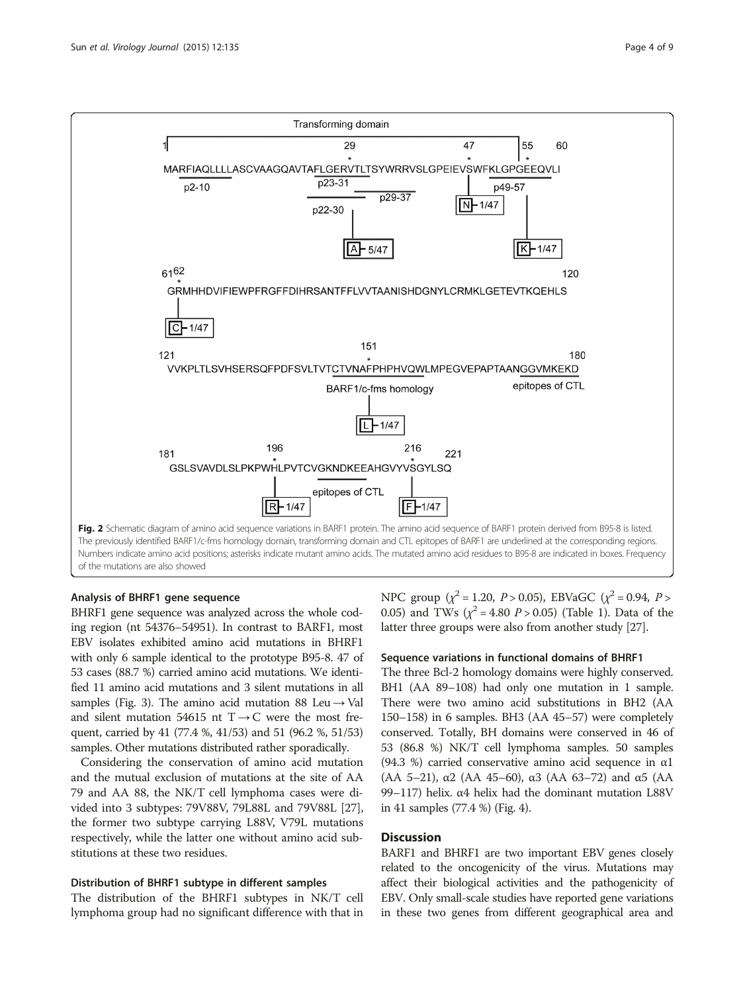<span id="page-3-0"></span>

# Analysis of BHRF1 gene sequence

BHRF1 gene sequence was analyzed across the whole coding region (nt 54376–54951). In contrast to BARF1, most EBV isolates exhibited amino acid mutations in BHRF1 with only 6 sample identical to the prototype B95-8. 47 of 53 cases (88.7 %) carried amino acid mutations. We identified 11 amino acid mutations and 3 silent mutations in all samples (Fig. [3\)](#page-4-0). The amino acid mutation 88 Leu  $\rightarrow$  Val and silent mutation 54615 nt  $T \rightarrow C$  were the most frequent, carried by 41 (77.4 %, 41/53) and 51 (96.2 %, 51/53) samples. Other mutations distributed rather sporadically.

Considering the conservation of amino acid mutation and the mutual exclusion of mutations at the site of AA 79 and AA 88, the NK/T cell lymphoma cases were divided into 3 subtypes: 79V88V, 79L88L and 79V88L [[27](#page-7-0)], the former two subtype carrying L88V, V79L mutations respectively, while the latter one without amino acid substitutions at these two residues.

# Distribution of BHRF1 subtype in different samples

The distribution of the BHRF1 subtypes in NK/T cell lymphoma group had no significant difference with that in

NPC group ( $\chi^2$  = 1.20, *P* > 0.05), EBVaGC ( $\chi^2$  = 0.94, *P* > 0.05) and TWs ( $\chi^2$  = 4.80 *P* > 0.05) (Table [1\)](#page-2-0). Data of the latter three groups were also from another study [[27](#page-7-0)].

# Sequence variations in functional domains of BHRF1

The three Bcl-2 homology domains were highly conserved. BH1 (AA 89-108) had only one mutation in 1 sample. There were two amino acid substitutions in BH2 (AA 150–158) in 6 samples. BH3 (AA 45–57) were completely conserved. Totally, BH domains were conserved in 46 of 53 (86.8 %) NK/T cell lymphoma samples. 50 samples (94.3 %) carried conservative amino acid sequence in  $\alpha$ 1 (AA 5–21),  $\alpha$ 2 (AA 45–60),  $\alpha$ 3 (AA 63–72) and  $\alpha$ 5 (AA 99–117) helix. α4 helix had the dominant mutation L88V in 41 samples (77.4 %) (Fig. [4\)](#page-5-0).

# **Discussion**

BARF1 and BHRF1 are two important EBV genes closely related to the oncogenicity of the virus. Mutations may affect their biological activities and the pathogenicity of EBV. Only small-scale studies have reported gene variations in these two genes from different geographical area and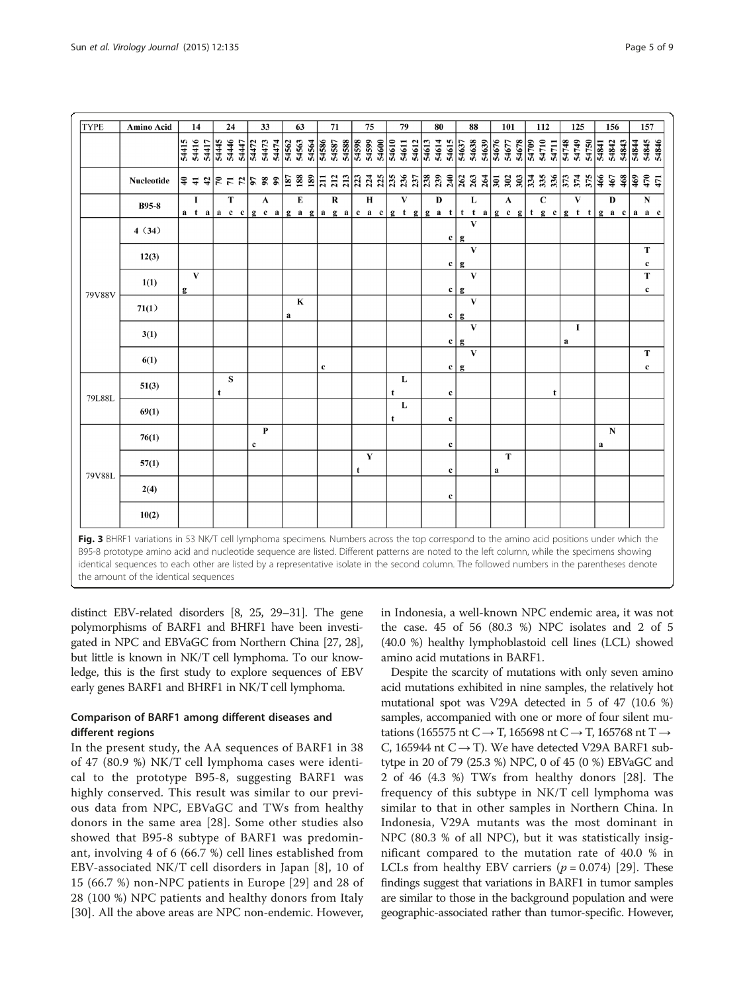<span id="page-4-0"></span>

| <b>TYPE</b><br>33<br>71<br>75<br>79<br>88<br>Amino Acid<br>24<br>63<br>80<br>101<br>112<br>125<br>14 |                   |       |          |                                                                                                                                                               |       |              |       |             |              |       |       |                 |       |                  |                   |       |                 |                                      |       |                                   |       |                   |       |                |              |              |       |       |                                  |                 |             |       |                   |              |       |          |       |                |                  |                |  |
|------------------------------------------------------------------------------------------------------|-------------------|-------|----------|---------------------------------------------------------------------------------------------------------------------------------------------------------------|-------|--------------|-------|-------------|--------------|-------|-------|-----------------|-------|------------------|-------------------|-------|-----------------|--------------------------------------|-------|-----------------------------------|-------|-------------------|-------|----------------|--------------|--------------|-------|-------|----------------------------------|-----------------|-------------|-------|-------------------|--------------|-------|----------|-------|----------------|------------------|----------------|--|
|                                                                                                      |                   |       |          |                                                                                                                                                               |       |              |       |             |              |       |       |                 |       |                  |                   |       |                 |                                      |       |                                   |       |                   |       |                |              |              |       |       |                                  |                 |             |       |                   |              |       |          | 156   |                | 157              |                |  |
|                                                                                                      |                   | 54415 | 54416    | 54417                                                                                                                                                         | 54445 | 54446        | 54447 | 54472       | 54473        | 54474 | 54562 | 54563           | 54564 | 54587<br>54587   |                   | 54588 | 54598           | 54600<br>54599                       | 54610 | 54611                             | 54612 | $\frac{1}{34613}$ | 54614 | 54615          | 54637        | 54638        | 54639 | 54676 | 54678<br>54677                   | 54709           | 54710       | 54711 | 54748             | 54749        | 54750 | 54841    | 54842 | 54844<br>54843 |                  | 54845<br>54846 |  |
|                                                                                                      | <b>Nucleotide</b> |       |          | $ \hat{\bm{z}}  \triangleq \hat{\bm{z}}   \hat{\bm{\Sigma}}   \hat{\bm{\Sigma}}   \hat{\bm{\Sigma}}   \hat{\bm{\Sigma}}   \hat{\bm{\Sigma}}   \hat{\bm{z}}  $ |       |              |       |             |              |       |       | $\frac{68}{18}$ |       | $\overline{211}$ | $\frac{212}{213}$ |       | $\overline{23}$ | 224                                  |       | $ \tilde{a} \times \tilde{a} $ ក៏ |       |                   |       |                |              | 33/28        |       |       | $\overline{5}$ នី ខ្លី           | $\overline{33}$ | 335         | 336   | $\frac{374}{374}$ |              | 375   | 466      | 467   | 469            | 470              | 471            |  |
|                                                                                                      | <b>B95-8</b>      |       | $\bf{I}$ |                                                                                                                                                               |       | T            |       |             | $\mathbf{A}$ |       |       | E               |       |                  | ${\bf R}$         |       |                 | $\mathbf H$<br>a taac c gcagagagacac |       | $\mathbf{V}$                      |       |                   | D     |                |              | L            |       |       | A<br>gtg gat tta gcg tgc gtt gac |                 | $\mathbf C$ |       |                   | $\mathbf{V}$ |       |          | D     |                | ${\bf N}$        | a a c          |  |
| 79V88V                                                                                               | 4(34)             |       |          |                                                                                                                                                               |       |              |       |             |              |       |       |                 |       |                  |                   |       |                 |                                      |       |                                   |       |                   |       | $\mathbf{c}$   | g            | $\mathbf{V}$ |       |       |                                  |                 |             |       |                   |              |       |          |       |                |                  |                |  |
|                                                                                                      | 12(3)             |       |          |                                                                                                                                                               |       |              |       |             |              |       |       |                 |       |                  |                   |       |                 |                                      |       |                                   |       |                   |       | $\mathbf{c}$   | g            | $\mathbf{V}$ |       |       |                                  |                 |             |       |                   |              |       |          |       |                | T<br>$\mathbf c$ |                |  |
|                                                                                                      | 1(1)              | g     | V        |                                                                                                                                                               |       |              |       |             |              |       |       |                 |       |                  |                   |       |                 |                                      |       |                                   |       |                   |       | c <sub>1</sub> | g            | V            |       |       |                                  |                 |             |       |                   |              |       |          |       |                | T                | $\mathbf c$    |  |
|                                                                                                      | 71(1)             |       |          |                                                                                                                                                               |       |              |       |             |              |       | a     | $\mathbf K$     |       |                  |                   |       |                 |                                      |       |                                   |       |                   |       | $\mathbf{c}$   | g            | $\mathbf{V}$ |       |       |                                  |                 |             |       |                   |              |       |          |       |                |                  |                |  |
|                                                                                                      | 3(1)              |       |          |                                                                                                                                                               |       |              |       |             |              |       |       |                 |       |                  |                   |       |                 |                                      |       |                                   |       |                   |       | $\mathbf{c}$   | $\mathbf{g}$ | V            |       |       |                                  |                 |             |       | $\bf{a}$          | I            |       |          |       |                |                  |                |  |
|                                                                                                      | 6(1)              |       |          |                                                                                                                                                               |       |              |       |             |              |       |       |                 |       | $\mathbf c$      |                   |       |                 |                                      |       |                                   |       |                   |       | c              | g            | $\mathbf{V}$ |       |       |                                  |                 |             |       |                   |              |       |          |       |                | T                | $\mathbf c$    |  |
| 79L88L                                                                                               | 51(3)             |       |          |                                                                                                                                                               | t     | $\mathbf{s}$ |       |             |              |       |       |                 |       |                  |                   |       |                 |                                      | t     | L                                 |       |                   |       | $\mathbf c$    |              |              |       |       |                                  |                 |             | t     |                   |              |       |          |       |                |                  |                |  |
|                                                                                                      | 69(1)             |       |          |                                                                                                                                                               |       |              |       |             |              |       |       |                 |       |                  |                   |       |                 |                                      | t     | L                                 |       |                   |       | $\mathbf c$    |              |              |       |       |                                  |                 |             |       |                   |              |       |          |       |                |                  |                |  |
|                                                                                                      | 76(1)             |       |          |                                                                                                                                                               |       |              |       | $\mathbf c$ | $\mathbf{P}$ |       |       |                 |       |                  |                   |       |                 |                                      |       |                                   |       |                   |       | $\mathbf c$    |              |              |       |       |                                  |                 |             |       |                   |              |       | $\bf{a}$ | N     |                |                  |                |  |
|                                                                                                      | 57(1)             |       |          |                                                                                                                                                               |       |              |       |             |              |       |       |                 |       |                  |                   |       | t               | $\mathbf Y$                          |       |                                   |       |                   |       | $\mathbf c$    |              |              |       | a     | T                                |                 |             |       |                   |              |       |          |       |                |                  |                |  |
| 79V88L                                                                                               | 2(4)              |       |          |                                                                                                                                                               |       |              |       |             |              |       |       |                 |       |                  |                   |       |                 |                                      |       |                                   |       |                   |       | c              |              |              |       |       |                                  |                 |             |       |                   |              |       |          |       |                |                  |                |  |
|                                                                                                      | 10(2)             |       |          |                                                                                                                                                               |       |              |       |             |              |       |       |                 |       |                  |                   |       |                 |                                      |       |                                   |       |                   |       |                |              |              |       |       |                                  |                 |             |       |                   |              |       |          |       |                |                  |                |  |

Fig. 3 BHRF1 variations in 53 NK/T cell lymphoma specimens. Numbers across the top correspond to the amino acid positions under which the B95-8 prototype amino acid and nucleotide sequence are listed. Different patterns are noted to the left column, while the specimens showing identical sequences to each other are listed by a representative isolate in the second column. The followed numbers in the parentheses denote the amount of the identical sequences

distinct EBV-related disorders [\[8](#page-7-0), [25, 29](#page-7-0)–[31\]](#page-8-0). The gene polymorphisms of BARF1 and BHRF1 have been investigated in NPC and EBVaGC from Northern China [\[27, 28](#page-7-0)], but little is known in NK/T cell lymphoma. To our knowledge, this is the first study to explore sequences of EBV early genes BARF1 and BHRF1 in NK/T cell lymphoma.

# Comparison of BARF1 among different diseases and different regions

In the present study, the AA sequences of BARF1 in 38 of 47 (80.9 %) NK/T cell lymphoma cases were identical to the prototype B95-8, suggesting BARF1 was highly conserved. This result was similar to our previous data from NPC, EBVaGC and TWs from healthy donors in the same area [\[28\]](#page-7-0). Some other studies also showed that B95-8 subtype of BARF1 was predominant, involving 4 of 6 (66.7 %) cell lines established from EBV-associated NK/T cell disorders in Japan [\[8\]](#page-7-0), 10 of 15 (66.7 %) non-NPC patients in Europe [\[29](#page-7-0)] and 28 of 28 (100 %) NPC patients and healthy donors from Italy [[30](#page-8-0)]. All the above areas are NPC non-endemic. However, in Indonesia, a well-known NPC endemic area, it was not the case. 45 of 56 (80.3 %) NPC isolates and 2 of 5 (40.0 %) healthy lymphoblastoid cell lines (LCL) showed amino acid mutations in BARF1.

Despite the scarcity of mutations with only seven amino acid mutations exhibited in nine samples, the relatively hot mutational spot was V29A detected in 5 of 47 (10.6 %) samples, accompanied with one or more of four silent mutations (165575 nt C  $\rightarrow$  T, 165698 nt C  $\rightarrow$  T, 165768 nt T  $\rightarrow$ C, 165944 nt  $C \rightarrow T$ ). We have detected V29A BARF1 subtytpe in 20 of 79 (25.3 %) NPC, 0 of 45 (0 %) EBVaGC and 2 of 46 (4.3 %) TWs from healthy donors [\[28](#page-7-0)]. The frequency of this subtype in NK/T cell lymphoma was similar to that in other samples in Northern China. In Indonesia, V29A mutants was the most dominant in NPC (80.3 % of all NPC), but it was statistically insignificant compared to the mutation rate of 40.0 % in LCLs from healthy EBV carriers  $(p = 0.074)$  [[29\]](#page-7-0). These findings suggest that variations in BARF1 in tumor samples are similar to those in the background population and were geographic-associated rather than tumor-specific. However,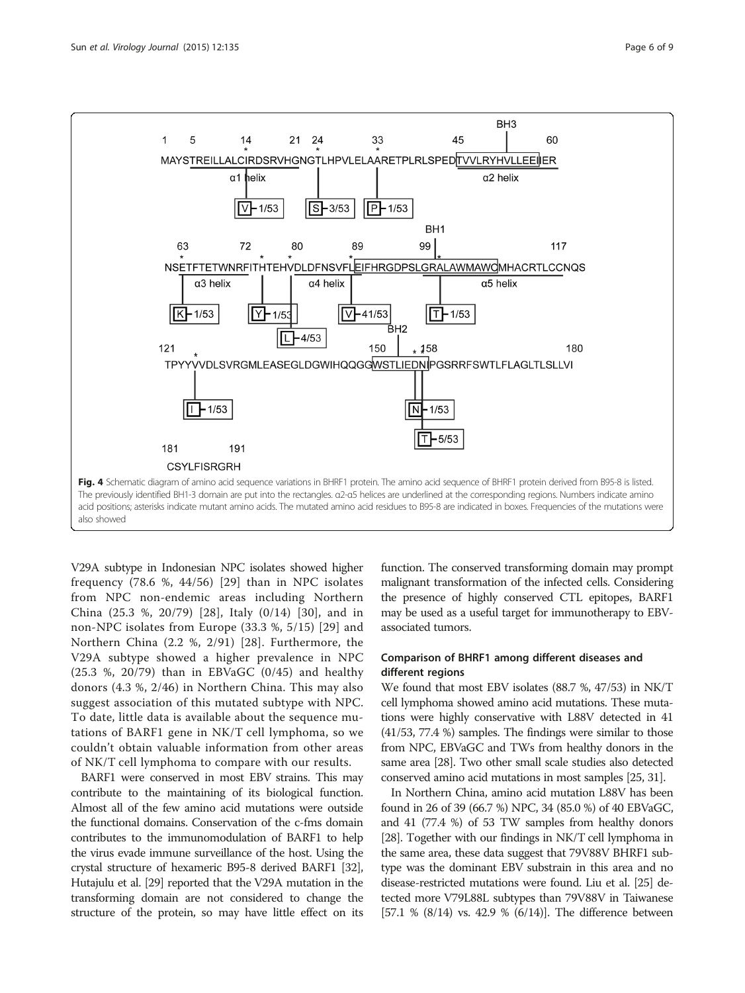<span id="page-5-0"></span>

V29A subtype in Indonesian NPC isolates showed higher frequency (78.6 %, 44/56) [[29](#page-7-0)] than in NPC isolates from NPC non-endemic areas including Northern China (25.3 %, 20/79) [[28\]](#page-7-0), Italy (0/14) [[30](#page-8-0)], and in non-NPC isolates from Europe (33.3 %, 5/15) [\[29\]](#page-7-0) and Northern China (2.2 %, 2/91) [[28\]](#page-7-0). Furthermore, the V29A subtype showed a higher prevalence in NPC (25.3 %, 20/79) than in EBVaGC (0/45) and healthy donors (4.3 %, 2/46) in Northern China. This may also suggest association of this mutated subtype with NPC. To date, little data is available about the sequence mutations of BARF1 gene in NK/T cell lymphoma, so we couldn't obtain valuable information from other areas of NK/T cell lymphoma to compare with our results.

BARF1 were conserved in most EBV strains. This may contribute to the maintaining of its biological function. Almost all of the few amino acid mutations were outside the functional domains. Conservation of the c-fms domain contributes to the immunomodulation of BARF1 to help the virus evade immune surveillance of the host. Using the crystal structure of hexameric B95-8 derived BARF1 [\[32](#page-8-0)], Hutajulu et al. [[29](#page-7-0)] reported that the V29A mutation in the transforming domain are not considered to change the structure of the protein, so may have little effect on its function. The conserved transforming domain may prompt malignant transformation of the infected cells. Considering the presence of highly conserved CTL epitopes, BARF1 may be used as a useful target for immunotherapy to EBVassociated tumors.

# Comparison of BHRF1 among different diseases and different regions

We found that most EBV isolates (88.7 %, 47/53) in NK/T cell lymphoma showed amino acid mutations. These mutations were highly conservative with L88V detected in 41 (41/53, 77.4 %) samples. The findings were similar to those from NPC, EBVaGC and TWs from healthy donors in the same area [\[28](#page-7-0)]. Two other small scale studies also detected conserved amino acid mutations in most samples [\[25](#page-7-0), [31](#page-8-0)].

In Northern China, amino acid mutation L88V has been found in 26 of 39 (66.7 %) NPC, 34 (85.0 %) of 40 EBVaGC, and 41 (77.4 %) of 53 TW samples from healthy donors [[28](#page-7-0)]. Together with our findings in NK/T cell lymphoma in the same area, these data suggest that 79V88V BHRF1 subtype was the dominant EBV substrain in this area and no disease-restricted mutations were found. Liu et al. [\[25](#page-7-0)] detected more V79L88L subtypes than 79V88V in Taiwanese [57.1 % (8/14) vs. 42.9 % (6/14)]. The difference between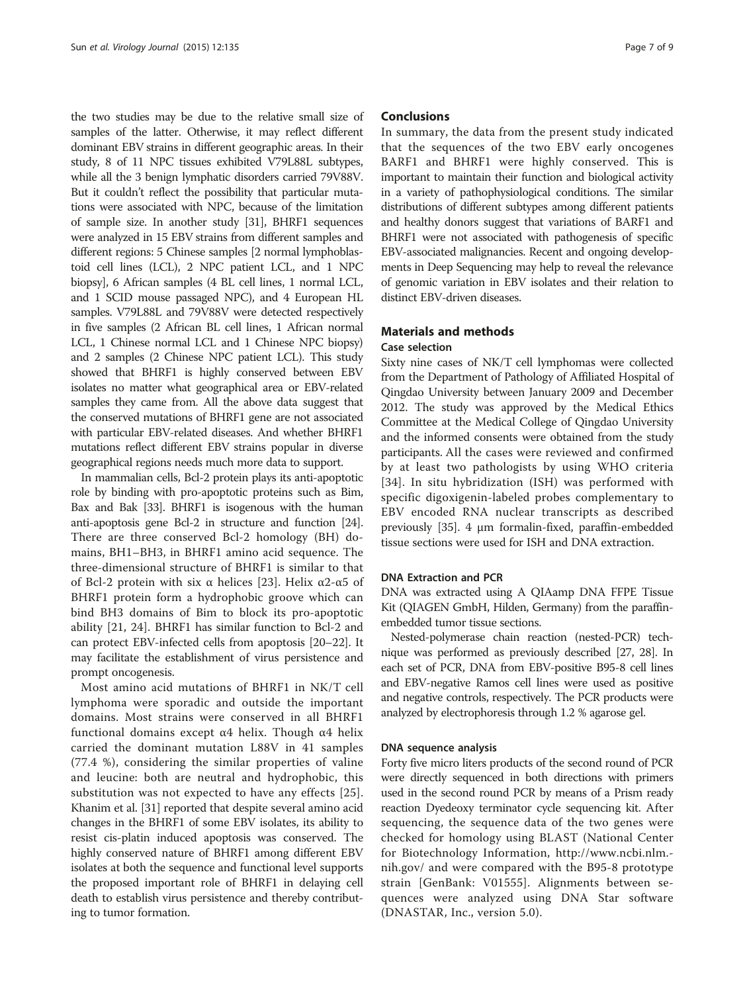the two studies may be due to the relative small size of samples of the latter. Otherwise, it may reflect different dominant EBV strains in different geographic areas. In their study, 8 of 11 NPC tissues exhibited V79L88L subtypes, while all the 3 benign lymphatic disorders carried 79V88V. But it couldn't reflect the possibility that particular mutations were associated with NPC, because of the limitation of sample size. In another study [[31](#page-8-0)], BHRF1 sequences were analyzed in 15 EBV strains from different samples and different regions: 5 Chinese samples [2 normal lymphoblastoid cell lines (LCL), 2 NPC patient LCL, and 1 NPC biopsy], 6 African samples (4 BL cell lines, 1 normal LCL, and 1 SCID mouse passaged NPC), and 4 European HL samples. V79L88L and 79V88V were detected respectively in five samples (2 African BL cell lines, 1 African normal LCL, 1 Chinese normal LCL and 1 Chinese NPC biopsy) and 2 samples (2 Chinese NPC patient LCL). This study showed that BHRF1 is highly conserved between EBV isolates no matter what geographical area or EBV-related samples they came from. All the above data suggest that the conserved mutations of BHRF1 gene are not associated with particular EBV-related diseases. And whether BHRF1 mutations reflect different EBV strains popular in diverse geographical regions needs much more data to support.

In mammalian cells, Bcl-2 protein plays its anti-apoptotic role by binding with pro-apoptotic proteins such as Bim, Bax and Bak [[33](#page-8-0)]. BHRF1 is isogenous with the human anti-apoptosis gene Bcl-2 in structure and function [\[24](#page-7-0)]. There are three conserved Bcl-2 homology (BH) domains, BH1–BH3, in BHRF1 amino acid sequence. The three-dimensional structure of BHRF1 is similar to that of Bcl-2 protein with six α helices [[23](#page-7-0)]. Helix α2-α5 of BHRF1 protein form a hydrophobic groove which can bind BH3 domains of Bim to block its pro-apoptotic ability [[21, 24\]](#page-7-0). BHRF1 has similar function to Bcl-2 and can protect EBV-infected cells from apoptosis [\[20](#page-7-0)–[22\]](#page-7-0). It may facilitate the establishment of virus persistence and prompt oncogenesis.

Most amino acid mutations of BHRF1 in NK/T cell lymphoma were sporadic and outside the important domains. Most strains were conserved in all BHRF1 functional domains except α4 helix. Though α4 helix carried the dominant mutation L88V in 41 samples (77.4 %), considering the similar properties of valine and leucine: both are neutral and hydrophobic, this substitution was not expected to have any effects [[25](#page-7-0)]. Khanim et al. [[31](#page-8-0)] reported that despite several amino acid changes in the BHRF1 of some EBV isolates, its ability to resist cis-platin induced apoptosis was conserved. The highly conserved nature of BHRF1 among different EBV isolates at both the sequence and functional level supports the proposed important role of BHRF1 in delaying cell death to establish virus persistence and thereby contributing to tumor formation.

# **Conclusions**

In summary, the data from the present study indicated that the sequences of the two EBV early oncogenes BARF1 and BHRF1 were highly conserved. This is important to maintain their function and biological activity in a variety of pathophysiological conditions. The similar distributions of different subtypes among different patients and healthy donors suggest that variations of BARF1 and BHRF1 were not associated with pathogenesis of specific EBV-associated malignancies. Recent and ongoing developments in Deep Sequencing may help to reveal the relevance of genomic variation in EBV isolates and their relation to distinct EBV-driven diseases.

# Materials and methods

#### Case selection

Sixty nine cases of NK/T cell lymphomas were collected from the Department of Pathology of Affiliated Hospital of Qingdao University between January 2009 and December 2012. The study was approved by the Medical Ethics Committee at the Medical College of Qingdao University and the informed consents were obtained from the study participants. All the cases were reviewed and confirmed by at least two pathologists by using WHO criteria [[34](#page-8-0)]. In situ hybridization (ISH) was performed with specific digoxigenin-labeled probes complementary to EBV encoded RNA nuclear transcripts as described previously [\[35\]](#page-8-0). 4 μm formalin-fixed, paraffin-embedded tissue sections were used for ISH and DNA extraction.

# DNA Extraction and PCR

DNA was extracted using A QIAamp DNA FFPE Tissue Kit (QIAGEN GmbH, Hilden, Germany) from the paraffinembedded tumor tissue sections.

Nested-polymerase chain reaction (nested-PCR) technique was performed as previously described [[27](#page-7-0), [28\]](#page-7-0). In each set of PCR, DNA from EBV-positive B95-8 cell lines and EBV-negative Ramos cell lines were used as positive and negative controls, respectively. The PCR products were analyzed by electrophoresis through 1.2 % agarose gel.

#### DNA sequence analysis

Forty five micro liters products of the second round of PCR were directly sequenced in both directions with primers used in the second round PCR by means of a Prism ready reaction Dyedeoxy terminator cycle sequencing kit. After sequencing, the sequence data of the two genes were checked for homology using BLAST (National Center for Biotechnology Information, [http://www.ncbi.nlm.](http://www.ncbi.nlm.nih.gov/) [nih.gov/](http://www.ncbi.nlm.nih.gov/) and were compared with the B95-8 prototype strain [GenBank: V01555]. Alignments between sequences were analyzed using DNA Star software (DNASTAR, Inc., version 5.0).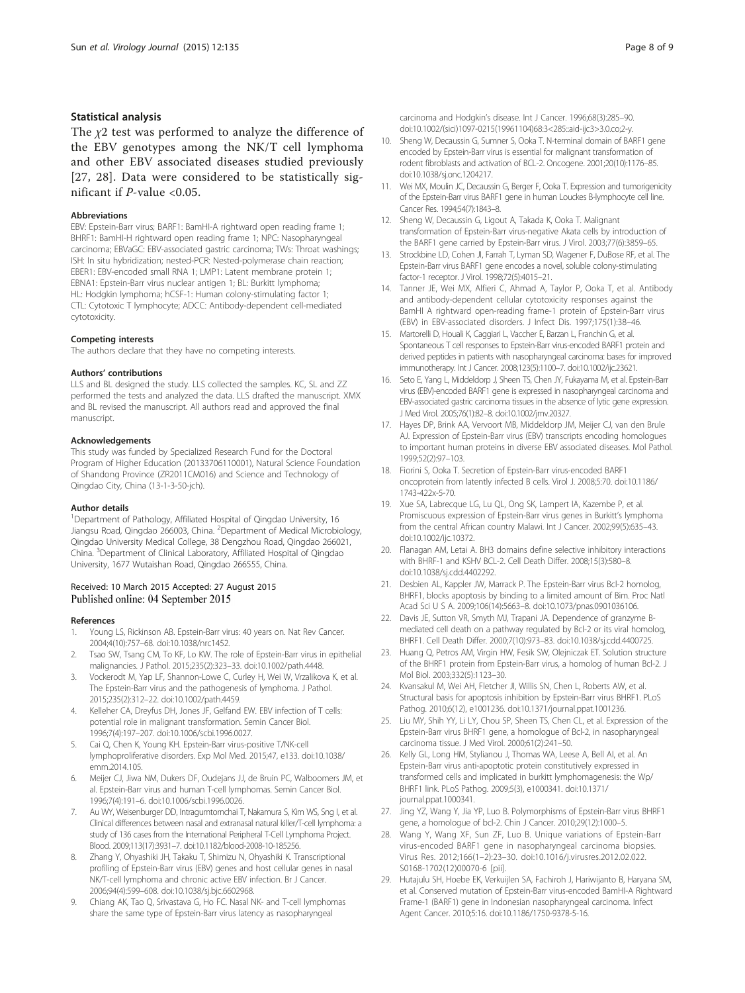# <span id="page-7-0"></span>Statistical analysis

The  $\chi$ 2 test was performed to analyze the difference of the EBV genotypes among the NK/T cell lymphoma and other EBV associated diseases studied previously [27, 28]. Data were considered to be statistically significant if P-value <0.05.

## Abbreviations

EBV: Epstein-Barr virus; BARF1: BamHI-A rightward open reading frame 1; BHRF1: BamHI-H rightward open reading frame 1; NPC: Nasopharyngeal carcinoma; EBVaGC: EBV-associated gastric carcinoma; TWs: Throat washings; ISH: In situ hybridization; nested-PCR: Nested-polymerase chain reaction; EBER1: EBV-encoded small RNA 1; LMP1: Latent membrane protein 1; EBNA1: Epstein-Barr virus nuclear antigen 1; BL: Burkitt lymphoma; HL: Hodgkin lymphoma; hCSF-1: Human colony-stimulating factor 1; CTL: Cytotoxic T lymphocyte; ADCC: Antibody-dependent cell-mediated cytotoxicity.

## Competing interests

The authors declare that they have no competing interests.

#### Authors' contributions

LLS and BL designed the study. LLS collected the samples. KC, SL and ZZ performed the tests and analyzed the data. LLS drafted the manuscript. XMX and BL revised the manuscript. All authors read and approved the final manuscript.

#### Acknowledgements

This study was funded by Specialized Research Fund for the Doctoral Program of Higher Education (20133706110001), Natural Science Foundation of Shandong Province (ZR2011CM016) and Science and Technology of Qingdao City, China (13-1-3-50-jch).

#### Author details

<sup>1</sup>Department of Pathology, Affiliated Hospital of Qingdao University, 16 Jiangsu Road, Qingdao 266003, China. <sup>2</sup>Department of Medical Microbiology, Qingdao University Medical College, 38 Dengzhou Road, Qingdao 266021, China. <sup>3</sup> Department of Clinical Laboratory, Affiliated Hospital of Qingdao University, 1677 Wutaishan Road, Qingdao 266555, China.

# Received: 10 March 2015 Accepted: 27 August 2015 Published online: 04 September 2015

#### References

- Young LS, Rickinson AB. Epstein-Barr virus: 40 years on. Nat Rev Cancer. 2004;4(10):757–68. doi:[10.1038/nrc1452.](http://dx.doi.org/10.1038/nrc1452)
- Tsao SW, Tsang CM, To KF, Lo KW. The role of Epstein-Barr virus in epithelial malignancies. J Pathol. 2015;235(2):323–33. doi:[10.1002/path.4448.](http://dx.doi.org/10.1002/path.4448)
- 3. Vockerodt M, Yap LF, Shannon-Lowe C, Curley H, Wei W, Vrzalikova K, et al. The Epstein-Barr virus and the pathogenesis of lymphoma. J Pathol. 2015;235(2):312–22. doi[:10.1002/path.4459](http://dx.doi.org/10.1002/path.4459).
- 4. Kelleher CA, Dreyfus DH, Jones JF, Gelfand EW. EBV infection of T cells: potential role in malignant transformation. Semin Cancer Biol. 1996;7(4):197–207. doi:[10.1006/scbi.1996.0027.](http://dx.doi.org/10.1006/scbi.1996.0027)
- 5. Cai Q, Chen K, Young KH. Epstein-Barr virus-positive T/NK-cell lymphoproliferative disorders. Exp Mol Med. 2015;47, e133. doi:[10.1038/](http://dx.doi.org/10.1038/emm.2014.105) [emm.2014.105.](http://dx.doi.org/10.1038/emm.2014.105)
- 6. Meijer CJ, Jiwa NM, Dukers DF, Oudejans JJ, de Bruin PC, Walboomers JM, et al. Epstein-Barr virus and human T-cell lymphomas. Semin Cancer Biol. 1996;7(4):191–6. doi[:10.1006/scbi.1996.0026.](http://dx.doi.org/10.1006/scbi.1996.0026)
- 7. Au WY, Weisenburger DD, Intragumtornchai T, Nakamura S, Kim WS, Sng I, et al. Clinical differences between nasal and extranasal natural killer/T-cell lymphoma: a study of 136 cases from the International Peripheral T-Cell Lymphoma Project. Blood. 2009;113(17):3931–7. doi[:10.1182/blood-2008-10-185256](http://dx.doi.org/10.1182/blood-2008-10-185256).
- Zhang Y, Ohyashiki JH, Takaku T, Shimizu N, Ohyashiki K. Transcriptional profiling of Epstein-Barr virus (EBV) genes and host cellular genes in nasal NK/T-cell lymphoma and chronic active EBV infection. Br J Cancer. 2006;94(4):599–608. doi[:10.1038/sj.bjc.6602968](http://dx.doi.org/10.1038/sj.bjc.6602968).
- 9. Chiang AK, Tao Q, Srivastava G, Ho FC. Nasal NK- and T-cell lymphomas share the same type of Epstein-Barr virus latency as nasopharyngeal

carcinoma and Hodgkin's disease. Int J Cancer. 1996;68(3):285–90. doi[:10.1002/\(sici\)1097-0215\(19961104\)68:3<285::aid-ijc3>3.0.co;2-y](http://dx.doi.org/10.1002/(sici)1097-0215(19961104)68:3%3C285::aid-ijc3%3E3.0.co;2-y).

- 10. Sheng W, Decaussin G, Sumner S, Ooka T. N-terminal domain of BARF1 gene encoded by Epstein-Barr virus is essential for malignant transformation of rodent fibroblasts and activation of BCL-2. Oncogene. 2001;20(10):1176–85. doi:[10.1038/sj.onc.1204217.](http://dx.doi.org/10.1038/sj.onc.1204217)
- 11. Wei MX, Moulin JC, Decaussin G, Berger F, Ooka T. Expression and tumorigenicity of the Epstein-Barr virus BARF1 gene in human Louckes B-lymphocyte cell line. Cancer Res. 1994;54(7):1843–8.
- 12. Sheng W, Decaussin G, Ligout A, Takada K, Ooka T. Malignant transformation of Epstein-Barr virus-negative Akata cells by introduction of the BARF1 gene carried by Epstein-Barr virus. J Virol. 2003;77(6):3859–65.
- 13. Strockbine LD, Cohen JI, Farrah T, Lyman SD, Wagener F, DuBose RF, et al. The Epstein-Barr virus BARF1 gene encodes a novel, soluble colony-stimulating factor-1 receptor. J Virol. 1998;72(5):4015–21.
- 14. Tanner JE, Wei MX, Alfieri C, Ahmad A, Taylor P, Ooka T, et al. Antibody and antibody-dependent cellular cytotoxicity responses against the BamHI A rightward open-reading frame-1 protein of Epstein-Barr virus (EBV) in EBV-associated disorders. J Infect Dis. 1997;175(1):38–46.
- 15. Martorelli D, Houali K, Caggiari L, Vaccher E, Barzan L, Franchin G, et al. Spontaneous T cell responses to Epstein-Barr virus-encoded BARF1 protein and derived peptides in patients with nasopharyngeal carcinoma: bases for improved immunotherapy. Int J Cancer. 2008;123(5):1100–7. doi[:10.1002/ijc.23621.](http://dx.doi.org/10.1002/ijc.23621)
- 16. Seto E, Yang L, Middeldorp J, Sheen TS, Chen JY, Fukayama M, et al. Epstein-Barr virus (EBV)-encoded BARF1 gene is expressed in nasopharyngeal carcinoma and EBV-associated gastric carcinoma tissues in the absence of lytic gene expression. J Med Virol. 2005;76(1):82–8. doi:[10.1002/jmv.20327](http://dx.doi.org/10.1002/jmv.20327).
- 17. Hayes DP, Brink AA, Vervoort MB, Middeldorp JM, Meijer CJ, van den Brule AJ. Expression of Epstein-Barr virus (EBV) transcripts encoding homologues to important human proteins in diverse EBV associated diseases. Mol Pathol. 1999;52(2):97–103.
- 18. Fiorini S, Ooka T. Secretion of Epstein-Barr virus-encoded BARF1 oncoprotein from latently infected B cells. Virol J. 2008;5:70. doi:[10.1186/](http://dx.doi.org/10.1186/1743-422x-5-70) [1743-422x-5-70](http://dx.doi.org/10.1186/1743-422x-5-70).
- 19. Xue SA, Labrecque LG, Lu QL, Ong SK, Lampert IA, Kazembe P, et al. Promiscuous expression of Epstein-Barr virus genes in Burkitt's lymphoma from the central African country Malawi. Int J Cancer. 2002;99(5):635–43. doi[:10.1002/ijc.10372](http://dx.doi.org/10.1002/ijc.10372).
- 20. Flanagan AM, Letai A. BH3 domains define selective inhibitory interactions with BHRF-1 and KSHV BCL-2. Cell Death Differ. 2008;15(3):580–8. doi[:10.1038/sj.cdd.4402292](http://dx.doi.org/10.1038/sj.cdd.4402292).
- 21. Desbien AL, Kappler JW, Marrack P. The Epstein-Barr virus Bcl-2 homolog, BHRF1, blocks apoptosis by binding to a limited amount of Bim. Proc Natl Acad Sci U S A. 2009;106(14):5663–8. doi:[10.1073/pnas.0901036106.](http://dx.doi.org/10.1073/pnas.0901036106)
- 22. Davis JE, Sutton VR, Smyth MJ, Trapani JA. Dependence of granzyme Bmediated cell death on a pathway regulated by Bcl-2 or its viral homolog, BHRF1. Cell Death Differ. 2000;7(10):973–83. doi:[10.1038/sj.cdd.4400725](http://dx.doi.org/10.1038/sj.cdd.4400725).
- 23. Huang Q, Petros AM, Virgin HW, Fesik SW, Olejniczak ET. Solution structure of the BHRF1 protein from Epstein-Barr virus, a homolog of human Bcl-2. J Mol Biol. 2003;332(5):1123–30.
- 24. Kvansakul M, Wei AH, Fletcher JI, Willis SN, Chen L, Roberts AW, et al. Structural basis for apoptosis inhibition by Epstein-Barr virus BHRF1. PLoS Pathog. 2010;6(12), e1001236. doi[:10.1371/journal.ppat.1001236](http://dx.doi.org/10.1371/journal.ppat.1001236).
- 25. Liu MY, Shih YY, Li LY, Chou SP, Sheen TS, Chen CL, et al. Expression of the Epstein-Barr virus BHRF1 gene, a homologue of Bcl-2, in nasopharyngeal carcinoma tissue. J Med Virol. 2000;61(2):241–50.
- 26. Kelly GL, Long HM, Stylianou J, Thomas WA, Leese A, Bell AI, et al. An Epstein-Barr virus anti-apoptotic protein constitutively expressed in transformed cells and implicated in burkitt lymphomagenesis: the Wp/ BHRF1 link. PLoS Pathog. 2009;5(3), e1000341. doi[:10.1371/](http://dx.doi.org/10.1371/journal.ppat.1000341) [journal.ppat.1000341.](http://dx.doi.org/10.1371/journal.ppat.1000341)
- 27. Jing YZ, Wang Y, Jia YP, Luo B. Polymorphisms of Epstein-Barr virus BHRF1 gene, a homologue of bcl-2. Chin J Cancer. 2010;29(12):1000–5.
- 28. Wang Y, Wang XF, Sun ZF, Luo B. Unique variations of Epstein-Barr virus-encoded BARF1 gene in nasopharyngeal carcinoma biopsies. Virus Res. 2012;166(1–2):23–30. doi:[10.1016/j.virusres.2012.02.022.](http://dx.doi.org/10.1016/j.virusres.2012.02.022) S0168-1702(12)00070-6 [pii].
- 29. Hutajulu SH, Hoebe EK, Verkuijlen SA, Fachiroh J, Hariwijanto B, Haryana SM, et al. Conserved mutation of Epstein-Barr virus-encoded BamHI-A Rightward Frame-1 (BARF1) gene in Indonesian nasopharyngeal carcinoma. Infect Agent Cancer. 2010;5:16. doi:[10.1186/1750-9378-5-16.](http://dx.doi.org/10.1186/1750-9378-5-16)